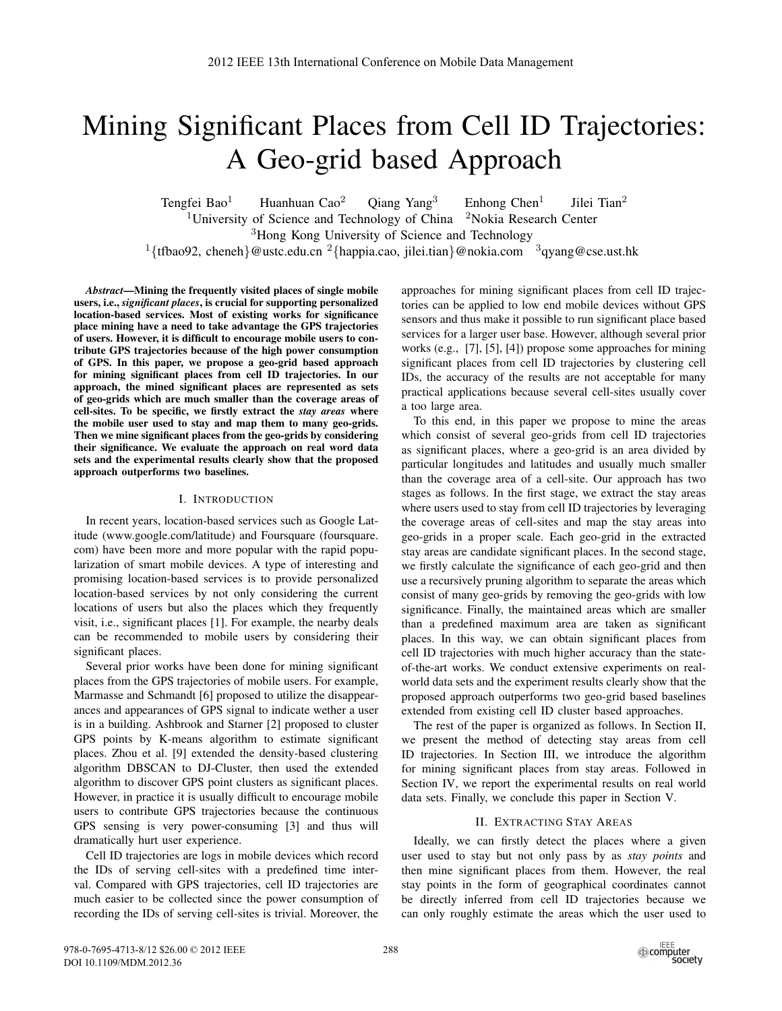# Mining Significant Places from Cell ID Trajectories: A Geo-grid based Approach

Tengfei Bao<sup>1</sup> Huanhuan Cao<sup>2</sup> Oiang Yang<sup>3</sup> Enhong Chen<sup>1</sup> Jilei Tian<sup>2</sup> <sup>1</sup>University of Science and Technology of China  $\frac{2N}{\text{O}}$ Nokia Research Center <sup>3</sup>Hong Kong University of Science and Technology <sup>1</sup>{tfbao92, cheneh}@ustc.edu.cn<sup>2</sup>{happia.cao, jilei.tian}@nokia.com <sup>3</sup>qyang@cse.ust.hk

*Abstract*—Mining the frequently visited places of single mobile users, i.e., *significant places*, is crucial for supporting personalized location-based services. Most of existing works for significance place mining have a need to take advantage the GPS trajectories of users. However, it is difficult to encourage mobile users to contribute GPS trajectories because of the high power consumption of GPS. In this paper, we propose a geo-grid based approach for mining significant places from cell ID trajectories. In our approach, the mined significant places are represented as sets of geo-grids which are much smaller than the coverage areas of cell-sites. To be specific, we firstly extract the *stay areas* where the mobile user used to stay and map them to many geo-grids. Then we mine significant places from the geo-grids by considering their significance. We evaluate the approach on real word data sets and the experimental results clearly show that the proposed approach outperforms two baselines.

## I. INTRODUCTION

In recent years, location-based services such as Google Latitude (www.google.com/latitude) and Foursquare (foursquare. com) have been more and more popular with the rapid popularization of smart mobile devices. A type of interesting and promising location-based services is to provide personalized location-based services by not only considering the current locations of users but also the places which they frequently visit, i.e., significant places [1]. For example, the nearby deals can be recommended to mobile users by considering their significant places.

Several prior works have been done for mining significant places from the GPS trajectories of mobile users. For example, Marmasse and Schmandt [6] proposed to utilize the disappearances and appearances of GPS signal to indicate wether a user is in a building. Ashbrook and Starner [2] proposed to cluster GPS points by K-means algorithm to estimate significant places. Zhou et al. [9] extended the density-based clustering algorithm DBSCAN to DJ-Cluster, then used the extended algorithm to discover GPS point clusters as significant places. However, in practice it is usually difficult to encourage mobile users to contribute GPS trajectories because the continuous GPS sensing is very power-consuming [3] and thus will dramatically hurt user experience.

Cell ID trajectories are logs in mobile devices which record the IDs of serving cell-sites with a predefined time interval. Compared with GPS trajectories, cell ID trajectories are much easier to be collected since the power consumption of recording the IDs of serving cell-sites is trivial. Moreover, the

approaches for mining significant places from cell ID trajectories can be applied to low end mobile devices without GPS sensors and thus make it possible to run significant place based services for a larger user base. However, although several prior works (e.g., [7], [5], [4]) propose some approaches for mining significant places from cell ID trajectories by clustering cell IDs, the accuracy of the results are not acceptable for many practical applications because several cell-sites usually cover a too large area.

To this end, in this paper we propose to mine the areas which consist of several geo-grids from cell ID trajectories as significant places, where a geo-grid is an area divided by particular longitudes and latitudes and usually much smaller than the coverage area of a cell-site. Our approach has two stages as follows. In the first stage, we extract the stay areas where users used to stay from cell ID trajectories by leveraging the coverage areas of cell-sites and map the stay areas into geo-grids in a proper scale. Each geo-grid in the extracted stay areas are candidate significant places. In the second stage, we firstly calculate the significance of each geo-grid and then use a recursively pruning algorithm to separate the areas which consist of many geo-grids by removing the geo-grids with low significance. Finally, the maintained areas which are smaller than a predefined maximum area are taken as significant places. In this way, we can obtain significant places from cell ID trajectories with much higher accuracy than the stateof-the-art works. We conduct extensive experiments on realworld data sets and the experiment results clearly show that the proposed approach outperforms two geo-grid based baselines extended from existing cell ID cluster based approaches.

The rest of the paper is organized as follows. In Section II, we present the method of detecting stay areas from cell ID trajectories. In Section III, we introduce the algorithm for mining significant places from stay areas. Followed in Section IV, we report the experimental results on real world data sets. Finally, we conclude this paper in Section V.

# II. EXTRACTING STAY AREAS

Ideally, we can firstly detect the places where a given user used to stay but not only pass by as *stay points* and then mine significant places from them. However, the real stay points in the form of geographical coordinates cannot be directly inferred from cell ID trajectories because we can only roughly estimate the areas which the user used to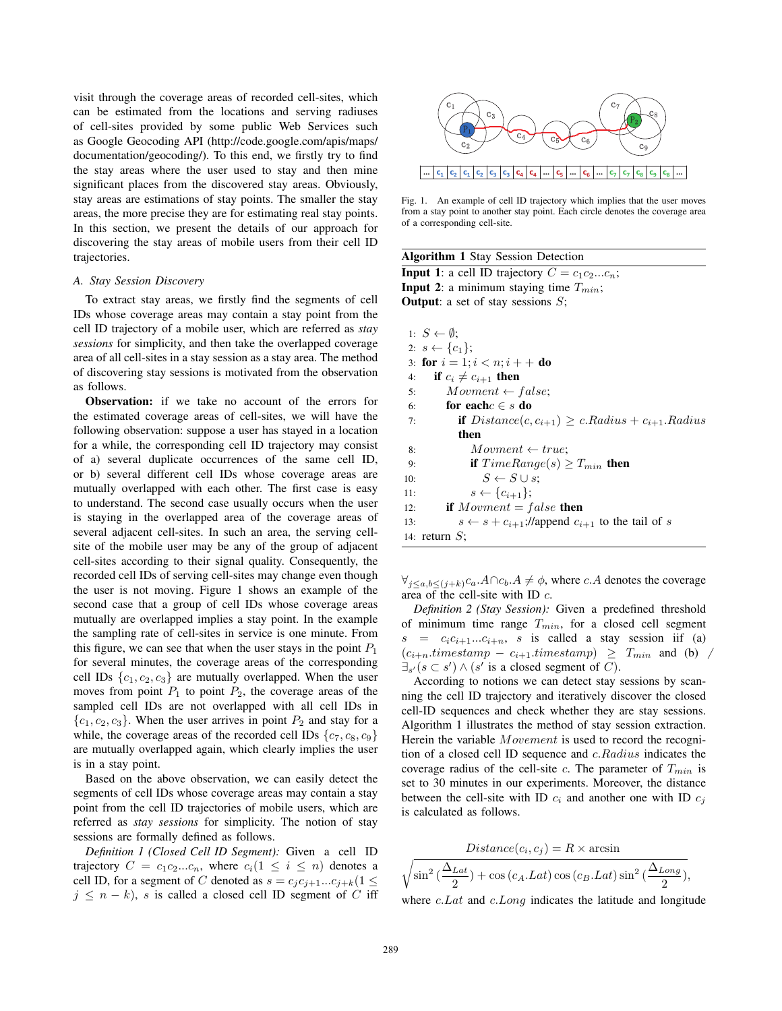visit through the coverage areas of recorded cell-sites, which can be estimated from the locations and serving radiuses of cell-sites provided by some public Web Services such as Google Geocoding API (http://code.google.com/apis/maps/ documentation/geocoding/). To this end, we firstly try to find the stay areas where the user used to stay and then mine significant places from the discovered stay areas. Obviously, stay areas are estimations of stay points. The smaller the stay areas, the more precise they are for estimating real stay points. In this section, we present the details of our approach for discovering the stay areas of mobile users from their cell ID trajectories.

## *A. Stay Session Discovery*

To extract stay areas, we firstly find the segments of cell IDs whose coverage areas may contain a stay point from the cell ID trajectory of a mobile user, which are referred as *stay sessions* for simplicity, and then take the overlapped coverage area of all cell-sites in a stay session as a stay area. The method of discovering stay sessions is motivated from the observation as follows.

Observation: if we take no account of the errors for the estimated coverage areas of cell-sites, we will have the following observation: suppose a user has stayed in a location for a while, the corresponding cell ID trajectory may consist of a) several duplicate occurrences of the same cell ID, or b) several different cell IDs whose coverage areas are mutually overlapped with each other. The first case is easy to understand. The second case usually occurs when the user is staying in the overlapped area of the coverage areas of several adjacent cell-sites. In such an area, the serving cellsite of the mobile user may be any of the group of adjacent cell-sites according to their signal quality. Consequently, the recorded cell IDs of serving cell-sites may change even though the user is not moving. Figure 1 shows an example of the second case that a group of cell IDs whose coverage areas mutually are overlapped implies a stay point. In the example the sampling rate of cell-sites in service is one minute. From this figure, we can see that when the user stays in the point  $P_1$ for several minutes, the coverage areas of the corresponding cell IDs  $\{c_1, c_2, c_3\}$  are mutually overlapped. When the user moves from point  $P_1$  to point  $P_2$ , the coverage areas of the sampled cell IDs are not overlapped with all cell IDs in  ${c_1, c_2, c_3}$ . When the user arrives in point  $P_2$  and stay for a while, the coverage areas of the recorded cell IDs  $\{c_7, c_8, c_9\}$ are mutually overlapped again, which clearly implies the user is in a stay point.

Based on the above observation, we can easily detect the segments of cell IDs whose coverage areas may contain a stay point from the cell ID trajectories of mobile users, which are referred as *stay sessions* for simplicity. The notion of stay sessions are formally defined as follows.

*Definition 1 (Closed Cell ID Segment):* Given a cell ID trajectory  $C = c_1 c_2 ... c_n$ , where  $c_i (1 \leq i \leq n)$  denotes a cell ID, for a segment of C denoted as  $s = c_j c_{j+1}...c_{j+k}$  (1  $\leq$  $j \leq n - k$ , s is called a closed cell ID segment of C iff



Fig. 1. An example of cell ID trajectory which implies that the user moves from a stay point to another stay point. Each circle denotes the coverage area of a corresponding cell-site.

| <b>Algorithm 1 Stay Session Detection</b> |  |  |  |  |
|-------------------------------------------|--|--|--|--|
|-------------------------------------------|--|--|--|--|

**Input 1**: a cell ID trajectory  $C = c_1c_2...c_n$ ; **Input 2:** a minimum staying time  $T_{min}$ ; **Output:** a set of stay sessions  $S$ ;

|     | 1: $S \leftarrow \emptyset$ :                                        |
|-----|----------------------------------------------------------------------|
|     | 2: $s \leftarrow \{c_1\};$                                           |
|     | 3: for $i = 1; i < n; i + +$ do                                      |
| 4:  | if $c_i \neq c_{i+1}$ then                                           |
| 5:  | $Movment \leftarrow false;$                                          |
| 6:  | for each $c \in s$ do                                                |
| 7:  | <b>if</b> $Distance(c, c_{i+1}) \ge c$ . Radius + $c_{i+1}$ . Radius |
|     | then                                                                 |
| 8:  | $Movment \leftarrow true$ :                                          |
| 9:  | <b>if</b> $TimeRange(s) > T_{min}$ <b>then</b>                       |
| 10: | $S \leftarrow S \cup s$ :                                            |
| 11: | $s \leftarrow \{c_{i+1}\};$                                          |
| 12: | if $Movment = false$ then                                            |
| 13: | $s \leftarrow s + c_{i+1}$ ;//append $c_{i+1}$ to the tail of s      |
|     | 14: return $S$ ;                                                     |

 $\forall_{j \leq a, b \leq (j+k)} c_a \cdot A \cap c_b \cdot A \neq \emptyset$ , where c. A denotes the coverage area of the cell-site with ID c.

*Definition 2 (Stay Session):* Given a predefined threshold of minimum time range  $T_{min}$ , for a closed cell segment  $s = c_i c_{i+1}...c_{i+n}$ , s is called a stay session iif (a)  $(c_{i+n}.times tamp - c_{i+1}.times tamp) \geq T_{min}$  and (b) /  $\exists s' (s \subset s') \land (s' \text{ is a closed segment of } C).$ <br>According to notions we can detect stay

According to notions we can detect stay sessions by scanning the cell ID trajectory and iteratively discover the closed cell-ID sequences and check whether they are stay sessions. Algorithm 1 illustrates the method of stay session extraction. Herein the variable *Movement* is used to record the recognition of a closed cell ID sequence and c.Radius indicates the coverage radius of the cell-site  $c$ . The parameter of  $T_{min}$  is set to 30 minutes in our experiments. Moreover, the distance between the cell-site with ID  $c_i$  and another one with ID  $c_i$ is calculated as follows.

$$
Distance(c_i, c_j) = R \times \arcsin
$$

$$
\sqrt{\sin^2\left(\frac{\Delta_{Lat}}{2}\right) + \cos\left(c_A.Lat\right)\cos\left(c_B.Lat\right)\sin^2\left(\frac{\Delta_{Long}}{2}\right)},
$$

where *c.Lat* and *c.Long* indicates the latitude and longitude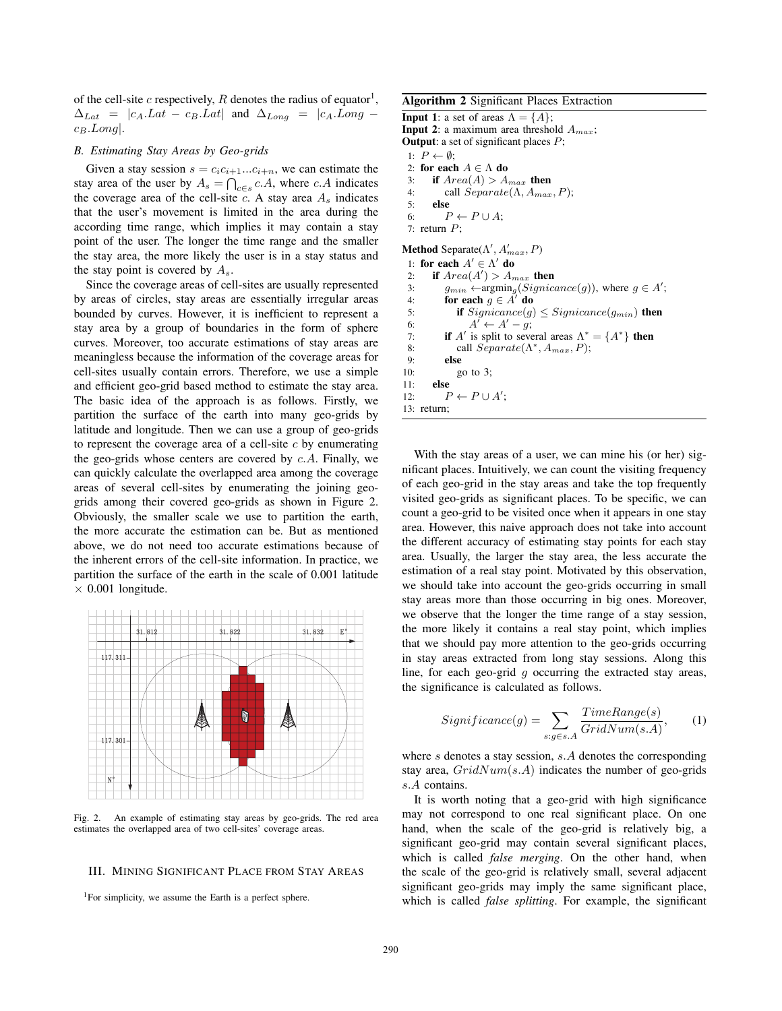of the cell-site c respectively, R denotes the radius of equator<sup>1</sup>,  $\Delta_{Lat}$  =  $|c_A.Lat - c_B.Lat|$  and  $\Delta_{Long}$  =  $|c_A.Long$  $c_B.Lonq$ .

## *B. Estimating Stay Areas by Geo-grids*

Given a stay session  $s = c_i c_{i+1}...c_{i+n}$ , we can estimate the stay area of the user by  $A_s = \bigcap_{c \in s} c \cdot A$ , where c.A indicates<br>the coverage area of the cell-site c. A stay area A indicates the coverage area of the cell-site c. A stay area  $A_s$  indicates that the user's movement is limited in the area during the according time range, which implies it may contain a stay point of the user. The longer the time range and the smaller the stay area, the more likely the user is in a stay status and the stay point is covered by  $A_{\rm s}$ .

Since the coverage areas of cell-sites are usually represented by areas of circles, stay areas are essentially irregular areas bounded by curves. However, it is inefficient to represent a stay area by a group of boundaries in the form of sphere curves. Moreover, too accurate estimations of stay areas are meaningless because the information of the coverage areas for cell-sites usually contain errors. Therefore, we use a simple and efficient geo-grid based method to estimate the stay area. The basic idea of the approach is as follows. Firstly, we partition the surface of the earth into many geo-grids by latitude and longitude. Then we can use a group of geo-grids to represent the coverage area of a cell-site  $c$  by enumerating the geo-grids whose centers are covered by  $c.A$ . Finally, we can quickly calculate the overlapped area among the coverage areas of several cell-sites by enumerating the joining geogrids among their covered geo-grids as shown in Figure 2. Obviously, the smaller scale we use to partition the earth, the more accurate the estimation can be. But as mentioned above, we do not need too accurate estimations because of the inherent errors of the cell-site information. In practice, we partition the surface of the earth in the scale of 0.001 latitude  $\times$  0.001 longitude.



Fig. 2. An example of estimating stay areas by geo-grids. The red area estimates the overlapped area of two cell-sites' coverage areas.

# III. MINING SIGNIFICANT PLACE FROM STAY AREAS

<sup>1</sup>For simplicity, we assume the Earth is a perfect sphere.

Algorithm 2 Significant Places Extraction

**Input 1:** a set of areas  $\Lambda = \{A\}$ ; **Input 2:** a maximum area threshold  $A_{max}$ ; **Output:** a set of significant places  $P$ ; 1:  $P \leftarrow \emptyset$ ; 2: for each  $A \in \Lambda$  do<br>3: if  $Area(A) > A$ 3: if  $Area(A) > A_{max}$  then<br>4: call  $Separate(\Lambda, A_{max})$ 4: call  $Separate(\Lambda, A_{max}, P);$ <br>5: else else 6:  $P \leftarrow P \cup A$ ; 7: return  $P$ ; **Method** Separate( $\Lambda'$ ,  $A'_{max}$ , P)<br>1. for each  $A' \subset \Lambda'$  do 1: for each  $A' \in \Lambda'$  do<br>2. if  $Area(A') > A$ . 2: **if**  $Area(A^{\prime})$  $) > A_{max}$  then<br>aromin. (Sianic 3:  $g_{min} \leftarrow \operatorname{argmin}_g (Signicance(g)),$  where  $g \in A'$ ;<br>4. **for each**  $g \in A'$  **do** 4: **for each**  $g \in A'$  **do**<br>5. **if** Signicance(a) 5: **if**  $Signicance(g) \leq Signicance(g_{min})$  then<br>6:  $A' \leftarrow A' - g$ : 6:  $A'$ <br>7. **if**  $A'$  is  $' \leftarrow A' - g;$ <br>split to seve 7: **if** A' is split to several areas  $\Lambda^* = \{A^*\}$  then<br>8: call Separate( $\Lambda^*$  A<sub>max</sub> P): 8: call  $Separate(\Lambda^*, A_{max}, P);$ <br>9: else else 10: go to 3;<br>11: **else** else 12:  $P \leftarrow P \cup A';$ <br>13: return: 13: return;

With the stay areas of a user, we can mine his (or her) significant places. Intuitively, we can count the visiting frequency of each geo-grid in the stay areas and take the top frequently visited geo-grids as significant places. To be specific, we can count a geo-grid to be visited once when it appears in one stay area. However, this naive approach does not take into account the different accuracy of estimating stay points for each stay area. Usually, the larger the stay area, the less accurate the estimation of a real stay point. Motivated by this observation, we should take into account the geo-grids occurring in small stay areas more than those occurring in big ones. Moreover, we observe that the longer the time range of a stay session, the more likely it contains a real stay point, which implies that we should pay more attention to the geo-grids occurring in stay areas extracted from long stay sessions. Along this line, for each geo-grid  $g$  occurring the extracted stay areas, the significance is calculated as follows.

$$
Significance(g) = \sum_{s:g \in s.A} \frac{TimeRange(s)}{GridNum(s.A)},
$$
 (1)

where s denotes a stay session, s.A denotes the corresponding stay area,  $GridNum(s.A)$  indicates the number of geo-grids s.A contains.

It is worth noting that a geo-grid with high significance may not correspond to one real significant place. On one hand, when the scale of the geo-grid is relatively big, a significant geo-grid may contain several significant places, which is called *false merging*. On the other hand, when the scale of the geo-grid is relatively small, several adjacent significant geo-grids may imply the same significant place, which is called *false splitting*. For example, the significant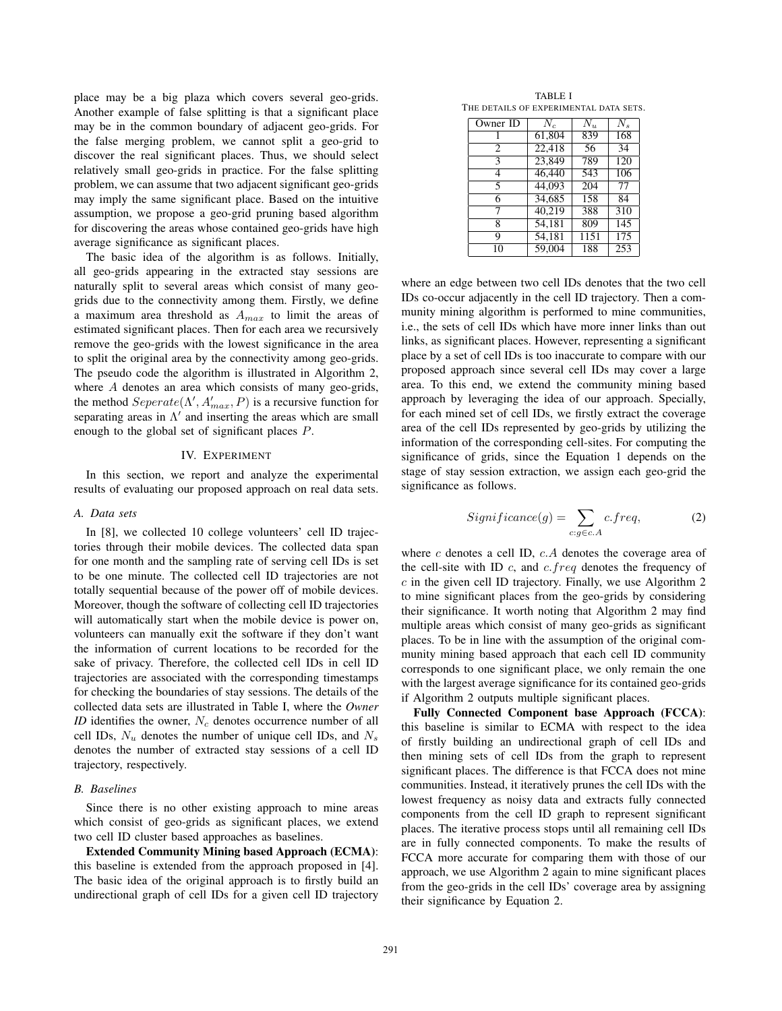place may be a big plaza which covers several geo-grids. Another example of false splitting is that a significant place may be in the common boundary of adjacent geo-grids. For the false merging problem, we cannot split a geo-grid to discover the real significant places. Thus, we should select relatively small geo-grids in practice. For the false splitting problem, we can assume that two adjacent significant geo-grids may imply the same significant place. Based on the intuitive assumption, we propose a geo-grid pruning based algorithm for discovering the areas whose contained geo-grids have high average significance as significant places.

The basic idea of the algorithm is as follows. Initially, all geo-grids appearing in the extracted stay sessions are naturally split to several areas which consist of many geogrids due to the connectivity among them. Firstly, we define a maximum area threshold as  $A_{max}$  to limit the areas of estimated significant places. Then for each area we recursively remove the geo-grids with the lowest significance in the area to split the original area by the connectivity among geo-grids. The pseudo code the algorithm is illustrated in Algorithm 2, where A denotes an area which consists of many geo-grids, the method  $September(\Lambda', A'_{max}, P)$  is a recursive function for<br>separating areas in  $\Lambda'$  and inserting the areas which are small separating areas in  $\Lambda'$  and inserting the areas which are small enough to the global set of significant places P.

## IV. EXPERIMENT

In this section, we report and analyze the experimental results of evaluating our proposed approach on real data sets.

### *A. Data sets*

In [8], we collected 10 college volunteers' cell ID trajectories through their mobile devices. The collected data span for one month and the sampling rate of serving cell IDs is set to be one minute. The collected cell ID trajectories are not totally sequential because of the power off of mobile devices. Moreover, though the software of collecting cell ID trajectories will automatically start when the mobile device is power on, volunteers can manually exit the software if they don't want the information of current locations to be recorded for the sake of privacy. Therefore, the collected cell IDs in cell ID trajectories are associated with the corresponding timestamps for checking the boundaries of stay sessions. The details of the collected data sets are illustrated in Table I, where the *Owner ID* identifies the owner,  $N_c$  denotes occurrence number of all cell IDs,  $N_u$  denotes the number of unique cell IDs, and  $N_s$ denotes the number of extracted stay sessions of a cell ID trajectory, respectively.

## *B. Baselines*

Since there is no other existing approach to mine areas which consist of geo-grids as significant places, we extend two cell ID cluster based approaches as baselines.

Extended Community Mining based Approach (ECMA): this baseline is extended from the approach proposed in [4]. The basic idea of the original approach is to firstly build an undirectional graph of cell IDs for a given cell ID trajectory

TABLE I THE DETAILS OF EXPERIMENTAL DATA SETS.

| Owner ID       | $N_c$  | $N_u$ | $N_{\rm s}$ |
|----------------|--------|-------|-------------|
|                | 61,804 | 839   | 168         |
| $\overline{c}$ | 22.418 | 56    | 34          |
| 3              | 23,849 | 789   | 120         |
| 4              | 46,440 | 543   | 106         |
| 5              | 44,093 | 204   | 77          |
| 6              | 34,685 | 158   | 84          |
| 7              | 40,219 | 388   | 310         |
| 8              | 54,181 | 809   | 145         |
| 9              | 54,181 | 1151  | 175         |
| 10             | 59,004 | 188   | 253         |

where an edge between two cell IDs denotes that the two cell IDs co-occur adjacently in the cell ID trajectory. Then a community mining algorithm is performed to mine communities, i.e., the sets of cell IDs which have more inner links than out links, as significant places. However, representing a significant place by a set of cell IDs is too inaccurate to compare with our proposed approach since several cell IDs may cover a large area. To this end, we extend the community mining based approach by leveraging the idea of our approach. Specially, for each mined set of cell IDs, we firstly extract the coverage area of the cell IDs represented by geo-grids by utilizing the information of the corresponding cell-sites. For computing the significance of grids, since the Equation 1 depends on the stage of stay session extraction, we assign each geo-grid the significance as follows.

$$
Significance(g) = \sum_{c:g \in c.A} c.freq,
$$
 (2)

where  $c$  denotes a cell ID,  $c.A$  denotes the coverage area of the cell-site with ID  $c$ , and  $c$ .  $freq$  denotes the frequency of  $c$  in the given cell ID trajectory. Finally, we use Algorithm 2 to mine significant places from the geo-grids by considering their significance. It worth noting that Algorithm 2 may find multiple areas which consist of many geo-grids as significant places. To be in line with the assumption of the original community mining based approach that each cell ID community corresponds to one significant place, we only remain the one with the largest average significance for its contained geo-grids if Algorithm 2 outputs multiple significant places.

Fully Connected Component base Approach (FCCA): this baseline is similar to ECMA with respect to the idea of firstly building an undirectional graph of cell IDs and then mining sets of cell IDs from the graph to represent significant places. The difference is that FCCA does not mine communities. Instead, it iteratively prunes the cell IDs with the lowest frequency as noisy data and extracts fully connected components from the cell ID graph to represent significant places. The iterative process stops until all remaining cell IDs are in fully connected components. To make the results of FCCA more accurate for comparing them with those of our approach, we use Algorithm 2 again to mine significant places from the geo-grids in the cell IDs' coverage area by assigning their significance by Equation 2.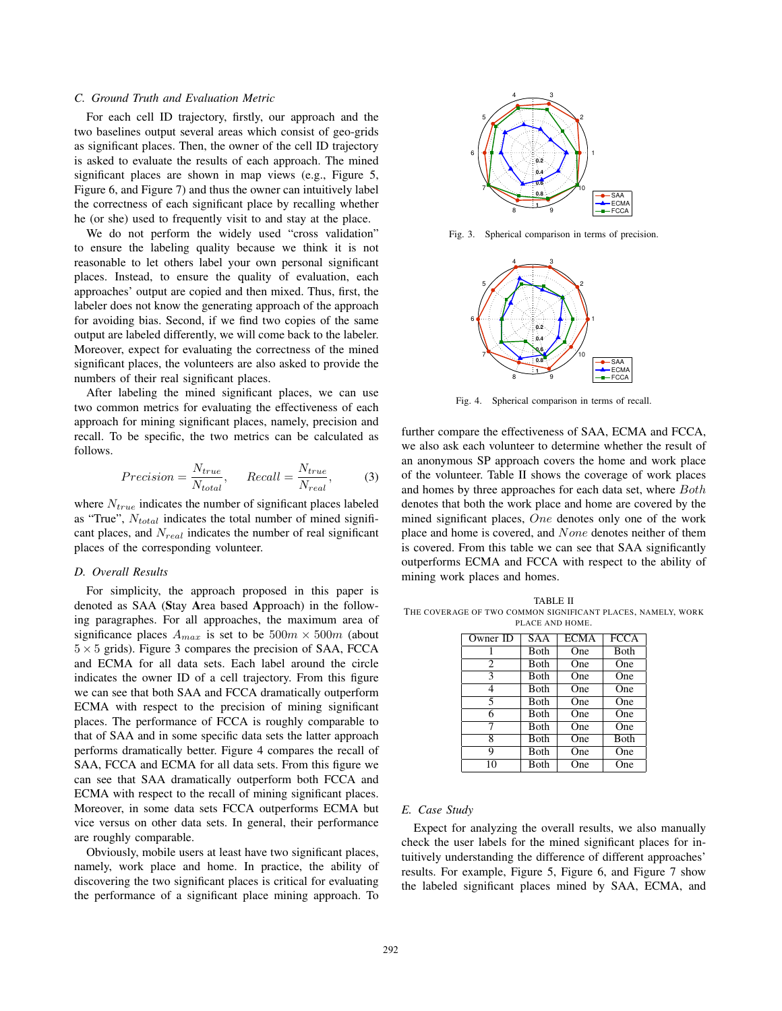# *C. Ground Truth and Evaluation Metric*

For each cell ID trajectory, firstly, our approach and the two baselines output several areas which consist of geo-grids as significant places. Then, the owner of the cell ID trajectory is asked to evaluate the results of each approach. The mined significant places are shown in map views (e.g., Figure 5, Figure 6, and Figure 7) and thus the owner can intuitively label the correctness of each significant place by recalling whether he (or she) used to frequently visit to and stay at the place.

We do not perform the widely used "cross validation" to ensure the labeling quality because we think it is not reasonable to let others label your own personal significant places. Instead, to ensure the quality of evaluation, each approaches' output are copied and then mixed. Thus, first, the labeler does not know the generating approach of the approach for avoiding bias. Second, if we find two copies of the same output are labeled differently, we will come back to the labeler. Moreover, expect for evaluating the correctness of the mined significant places, the volunteers are also asked to provide the numbers of their real significant places.

After labeling the mined significant places, we can use two common metrics for evaluating the effectiveness of each approach for mining significant places, namely, precision and recall. To be specific, the two metrics can be calculated as follows.

$$
Precision = \frac{N_{true}}{N_{total}}, \qquad Recall = \frac{N_{true}}{N_{real}}, \tag{3}
$$

where  $N_{true}$  indicates the number of significant places labeled as "True",  $N_{total}$  indicates the total number of mined significant places, and  $N_{real}$  indicates the number of real significant places of the corresponding volunteer.

#### *D. Overall Results*

For simplicity, the approach proposed in this paper is denoted as SAA (Stay Area based Approach) in the following paragraphes. For all approaches, the maximum area of significance places  $A_{max}$  is set to be  $500m \times 500m$  (about  $5 \times 5$  grids). Figure 3 compares the precision of SAA, FCCA and ECMA for all data sets. Each label around the circle indicates the owner ID of a cell trajectory. From this figure we can see that both SAA and FCCA dramatically outperform ECMA with respect to the precision of mining significant places. The performance of FCCA is roughly comparable to that of SAA and in some specific data sets the latter approach performs dramatically better. Figure 4 compares the recall of SAA, FCCA and ECMA for all data sets. From this figure we can see that SAA dramatically outperform both FCCA and ECMA with respect to the recall of mining significant places. Moreover, in some data sets FCCA outperforms ECMA but vice versus on other data sets. In general, their performance are roughly comparable.

Obviously, mobile users at least have two significant places, namely, work place and home. In practice, the ability of discovering the two significant places is critical for evaluating the performance of a significant place mining approach. To



Fig. 3. Spherical comparison in terms of precision.



Fig. 4. Spherical comparison in terms of recall.

further compare the effectiveness of SAA, ECMA and FCCA, we also ask each volunteer to determine whether the result of an anonymous SP approach covers the home and work place of the volunteer. Table II shows the coverage of work places and homes by three approaches for each data set, where Both denotes that both the work place and home are covered by the mined significant places, One denotes only one of the work place and home is covered, and None denotes neither of them is covered. From this table we can see that SAA significantly outperforms ECMA and FCCA with respect to the ability of mining work places and homes.

TABLE II THE COVERAGE OF TWO COMMON SIGNIFICANT PLACES, NAMELY, WORK PLACE AND HOME.

| Owner ID                 | <b>SAA</b>   | <b>ECMA</b> | <b>FCCA</b>  |
|--------------------------|--------------|-------------|--------------|
|                          | Both         | One         | <b>B</b> oth |
| 2                        | Both         | One         | One          |
| $\overline{\mathcal{E}}$ | <b>B</b> oth | One         | One          |
|                          | Both         | One         | One          |
| 5                        | <b>Both</b>  | One         | One          |
| 6                        | <b>B</b> oth | One         | One          |
| 7                        | Both         | One         | One          |
| 8                        | Both         | One         | Both         |
| Q                        | <b>B</b> oth | One         | One          |
| 10                       | Both         | One         | One          |

#### *E. Case Study*

Expect for analyzing the overall results, we also manually check the user labels for the mined significant places for intuitively understanding the difference of different approaches' results. For example, Figure 5, Figure 6, and Figure 7 show the labeled significant places mined by SAA, ECMA, and